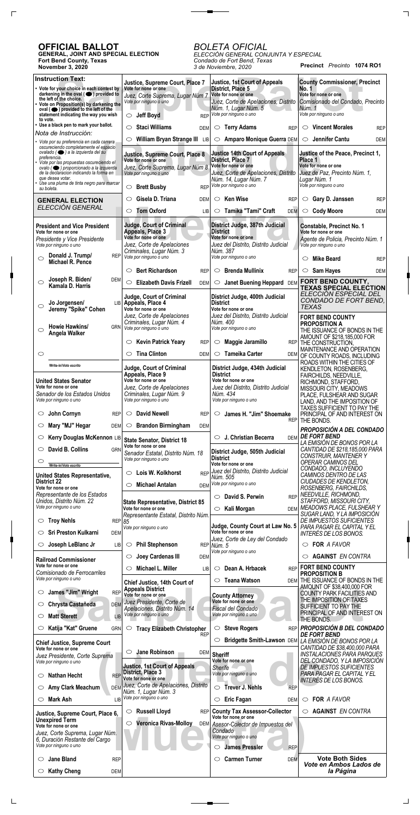**Precinct** *Precinto* **1074 RO1**

## **OFFICIAL BALLOT**

 $\Gamma$ 

 $\Box$ 

**GENERAL, JOINT AND SPECIAL ELECTION Fort Bend County, Texas November 3, 2020**

# *BOLETA OFICIAL*

 $\overline{\phantom{a}}$  and  $\overline{\phantom{a}}$ 

*ELECCIÓN GENERAL CONJUNTA Y ESPECIAL Condado de Fort Bend, Texas 3 de Noviembre, 2020*

| <b>Instruction Text:</b>                                                                            | Justice, Supreme Court, Place 7                                         | <b>Justice, 1st Court of Appeals</b>                             | <b>County Commissioner, Precinct</b>                               |
|-----------------------------------------------------------------------------------------------------|-------------------------------------------------------------------------|------------------------------------------------------------------|--------------------------------------------------------------------|
| • Vote for your choice in each contest by<br>darkening in the oval $($ $\bullet)$ provided to       | Vote for none or one<br>Juez, Corte Suprema, Lugar Núm 7                | District, Place 5<br>Vote for none or one                        | No. 1<br>Vote for none or one                                      |
| the left of the choice.<br>• Vote on Proposition(s) by darkening the                                | Vote por ninguno o uno                                                  | Juez, Corte de Apelaciones, Distrito<br>Núm. 1, Lugar Núm. 5     | Comisionado del Condado, Precinto<br>Núm. 1                        |
| oval ( $\bullet$ ) provided to the left of the<br>statement indicating the way you wish<br>to vote. | <b>Jeff Boyd</b><br><b>REP</b><br>$\circ$                               | Vote por ninguno o uno                                           | Vote por ninguno o uno                                             |
| • Use a black pen to mark your ballot.                                                              | <b>Staci Williams</b><br>$\circlearrowright$<br><b>DEM</b>              | <b>Terry Adams</b><br>$\circ$<br><b>REP</b>                      | <b>Vincent Morales</b><br>$\circ$<br>REP                           |
| Nota de Instrucción:<br>• Vote por su preferencia en cada carrera                                   | William Bryan Strange III LIB<br>$\circlearrowright$                    | Amparo Monique Guerra DEM<br>$\circ$                             | Jennifer Cantu<br>$\circ$<br><b>DEM</b>                            |
| oscureciendo completamente el espacio<br>ovalado (   a la izquierda del su                          |                                                                         |                                                                  |                                                                    |
| preferencia.<br>· Vote por las propuestas oscureciendo el                                           | Justice, Supreme Court, Place 8<br>Vote for none or one                 | <b>Justice 14th Court of Appeals</b><br><b>District, Place 7</b> | Justice of the Peace, Precinct 1,<br>Place 1                       |
| ovalo (O ) proporcionado a la izquierda<br>de la declaracion indicando la forma en                  | Juez, Corte Suprema, Lugar Núm 8<br>Vote por ninguno o uno              | Vote for none or one<br>Juez, Corte de Apelaciones, Distrito     | Vote for none or one<br>Juez de Paz, Precinto Núm. 1,              |
| que desea votar.<br>Use una pluma de tinta negro para marcar                                        |                                                                         | Núm. 14, Lugar Núm. 7<br>REP Vote por ninguno o uno              | Lugar Núm. 1<br>Vote por ninguno o uno                             |
| su boleta.                                                                                          | <b>Brett Busby</b><br>$\circlearrowright$                               |                                                                  |                                                                    |
| <b>GENERAL ELECTION</b><br>ELECCIÓN GENERAL                                                         | Gisela D. Triana<br>$\circlearrowright$<br><b>DEM</b>                   | <b>Ken Wise</b><br>$\circ$<br><b>REP</b>                         | Gary D. Janssen<br>$\circ$<br><b>REP</b>                           |
|                                                                                                     | <b>Tom Oxford</b><br>$\circ$<br>LIB                                     | Tamika "Tami" Craft<br><b>DEM</b><br>$\circ$                     | <b>Cody Moore</b><br>$\circ$<br><b>DEM</b>                         |
| <b>President and Vice President</b>                                                                 | <b>Judge, Court of Criminal</b>                                         | District Judge, 387th Judicial<br><b>District</b>                | Constable, Precinct No. 1<br>Vote for none or one                  |
| Vote for none or one<br>Presidente y Vice Presidente                                                | Appeals, Place 3<br>Vote for none or one                                | Vote for none or one                                             | Agente de Policia, Precinto Núm. 1                                 |
| Vote por ninguno o uno                                                                              | Juez, Corte de Apelaciones<br>Criminales, Lugar Núm. 3                  | Juez del Distrito, Distrito Judicial<br>Núm. 387                 | Vote por ninguno o uno                                             |
| Donald J. Trump/<br><b>REP</b><br>$\circ$<br>Michael R. Pence                                       | Vote por ninguno o uno                                                  | Vote por ninguno o uno                                           | <b>Mike Beard</b><br>O<br><b>REP</b>                               |
|                                                                                                     | <b>Bert Richardson</b><br>$\circlearrowright$<br><b>REP</b>             | <b>Brenda Mullinix</b><br>O<br><b>REP</b>                        | <b>Sam Hayes</b><br>$\circ$<br><b>DEM</b>                          |
| Joseph R. Biden/<br><b>DEM</b><br>O<br>Kamala D. Harris                                             | <b>Elizabeth Davis Frizell</b><br>$\circlearrowright$<br><b>DEM</b>     | <b>Janet Buening Heppard</b><br>$\circ$<br><b>DEM</b>            | FORT BEND COUNTY,<br><b>TEXAS SPECIAL ELECTION</b>                 |
|                                                                                                     | Judge, Court of Criminal                                                | District Judge, 400th Judicial                                   | ELECCIÓN ESPECIAL DEL                                              |
| Jo Jorgensen/<br>◯<br>Jeremy "Spike" Cohen                                                          | LIB Appeals, Place 4<br>Vote for none or one                            | <b>District</b><br>Vote for none or one                          | CONDADO DE FORT BEND,<br><b>TEXAS</b>                              |
|                                                                                                     | Juez, Corte de Apelaciones                                              | Juez del Distrito, Distrito Judicial                             | <b>FORT BEND COUNTY</b>                                            |
| Howie Hawkins/<br><b>GRN</b><br>$\circ$                                                             | Criminales, Lugar Núm. 4<br>Vote por ninguno o uno                      | Núm. 400<br>Vote por ninguno o uno                               | <b>PROPOSITION A</b><br>THE ISSUANCE OF BONDS IN THE               |
| Angela Walker                                                                                       | <b>Kevin Patrick Yeary</b><br>$\circlearrowright$<br><b>REP</b>         | Maggie Jaramillo<br>$\circ$<br><b>REP</b>                        | AMOUNT OF \$218,185,000 FOR<br>THE CONSTRUCTION,                   |
| $\circlearrowright$                                                                                 | <b>Tina Clinton</b><br>$\circlearrowright$<br><b>DEM</b>                | <b>Tameika Carter</b><br>$\circlearrowright$                     | MAINTENANCE AND OPERATION                                          |
|                                                                                                     |                                                                         | <b>DEM</b>                                                       | OF COUNTY ROADS, INCLUDING<br>ROADS WITHIN THE CITIES OF           |
| Write-in/Voto escrito                                                                               | <b>Judge, Court of Criminal</b><br>Appeals, Place 9                     | District Judge, 434th Judicial<br><b>District</b>                | KENDLETON, ROSENBERG,<br>FAIRCHILDS, NEEDVILLE,                    |
| <b>United States Senator</b><br>Vote for none or one                                                | Vote for none or one<br>Juez, Corte de Apelaciones                      | Vote for none or one<br>Juez del Distrito, Distrito Judicial     | RICHMOND, STAFFORD,                                                |
| Senador de los Estados Unidos                                                                       | Criminales, Lugar Núm. 9                                                | Núm. 434                                                         | MISSOURI CITY, MEADOWS<br>PLACE, FULSHEAR AND SUGAR                |
| Vote por ninguno o uno                                                                              | Vote por ninguno o uno                                                  | Vote por ninguno o uno                                           | LAND, AND THE IMPOSITION OF<br>TAXES SUFFICIENT TO PAY THE         |
| John Cornyn<br>$\circ$<br><b>REP</b>                                                                | <b>David Newell</b><br>$\circlearrowright$<br><b>REP</b>                | James H. "Jim" Shoemake<br>O<br><b>REP</b>                       | PRINCIPAL OF AND INTEREST ON<br>THE BONDS.                         |
| Mary "MJ" Hegar<br>O<br><b>DEM</b>                                                                  | <b>Brandon Birmingham</b><br>$\circ$<br><b>DEM</b>                      |                                                                  | <b>PROPOSICIÓN A DEL CONDADO</b>                                   |
| Kerry Douglas McKennon LIB                                                                          | <b>State Senator, District 18</b>                                       | J. Christian Becerra<br>◯<br><b>DEM</b>                          | <b>DE FORT BEND</b><br>LA EMISIÓN DE BONOS POR LA                  |
| David B. Collins<br>O<br><b>GRN</b>                                                                 | Vote for none or one<br>Senador Estatal, Distrito Núm. 18               | District Judge, 505th Judicial                                   | CANTIDAD DE \$218,185,000 PARA                                     |
| O<br>Write-in/Voto escrito                                                                          | Vote por ninguno o uno                                                  | <b>District</b><br>Vote for none or one                          | <b>CONSTRUIR, MANTENER Y</b><br>OPERAR CAMINOS DEL                 |
| <b>United States Representative,</b>                                                                | Lois W. Kolkhorst<br><b>REP</b><br>O                                    | Juez del Distrito, Distrito Judicial<br>Núm. 505                 | CONDADO, INCLUYENDO<br>CAMINOS DENTRO DE LAS                       |
| <b>District 22</b><br>Vote for none or one                                                          | <b>Michael Antalan</b><br><b>DEM</b><br>$\circlearrowright$             | Vote por ninguno o uno                                           | CIUDADES DE KENDLETON,<br>ROSENBERG, FAIRCHILDS,                   |
| Representante de los Estados                                                                        |                                                                         | David S. Perwin<br><b>REP</b><br>$\circ$                         | NEEDVILLE, RICHMOND,                                               |
| Unidos, Distrito Núm. 22<br>Vote por ninguno o uno                                                  | <b>State Representative, District 85</b><br>Vote for none or one        | Kali Morgan<br>$\circ$<br><b>DEM</b>                             | STAFFORD, MISSOURI CITY,<br><b>MEADOWS PLACE, FULSHEAR Y</b>       |
| <b>Troy Nehls</b><br>C                                                                              | Representante Estatal, Distrito Núm.<br>REPI85                          |                                                                  | SUGAR LAND, Y LA IMPOSICIÓN<br>DE IMPUESTOS SUFICIENTES            |
| <b>Sri Preston Kulkarni</b><br>◯<br><b>DEM</b>                                                      | Vote por ninguno o uno                                                  | Judge, County Court at Law No. 5<br>Vote for none or one         | PARA PAGAR EL CAPITAL Y EL<br>INTERÉS DE LOS BONOS.                |
| Joseph LeBlanc Jr<br>LIB<br>O                                                                       | <b>Phil Stephenson</b><br>$\circ$                                       | Juez, Corte de Ley del Condado                                   | FOR A FAVOR<br>O                                                   |
|                                                                                                     |                                                                         | REP Núm. 5<br>Vote por ninguno o uno                             |                                                                    |
| <b>Railroad Commissioner</b><br>Vote for none or one                                                | Joey Cardenas III<br>$\circ$<br><b>DEM</b>                              |                                                                  | <b>AGAINST EN CONTRA</b><br>O<br><b>FORT BEND COUNTY</b>           |
| Comisionado de Ferrocarriles<br>Vote por ninguno o uno                                              | Michael L. Miller<br>$\circlearrowright$<br>LIB                         | Dean A. Hrbacek<br>$\circ$<br><b>REP</b>                         | <b>PROPOSITION B</b>                                               |
|                                                                                                     | Chief Justice, 14th Court of<br><b>Appeals District</b>                 | <b>Teana Watson</b><br>$\circ$<br>DEM                            | THE ISSUANCE OF BONDS IN THE<br>AMOUNT OF \$38,400,000 FOR         |
| James "Jim" Wright<br><b>REP</b><br>O                                                               | Vote for none or one<br>Juez Presidente, Corte de                       | <b>County Attorney</b><br>Vote for none or one                   | <b>COUNTY PARK FACILITIES AND</b><br>THE IMPOSITION OF TAXES       |
| Chrysta Castañeda<br><b>DEM</b><br>O                                                                | Apelaciones, Distrito Núm. 14                                           | Fiscal del Condado                                               | SUFFICIENT TO PAY THE<br>PRINCIPAL OF AND INTEREST ON              |
| <b>Matt Sterett</b><br>O<br>LIB                                                                     | Vote por ninguno o uno                                                  | Vote por ninguno o uno                                           | THE BONDS.                                                         |
| Katija "Kat" Gruene<br><b>GRN</b><br>O                                                              | $\circlearrowright$<br><b>Tracy Elizabeth Christopher</b><br><b>REP</b> | <b>Steve Rogers</b><br>$\circ$                                   | REP <b>PROPOSICIÓN B DEL CONDADO</b><br><b>DE FORT BEND</b>        |
| <b>Chief Justice, Supreme Court</b>                                                                 |                                                                         | $\circlearrowright$<br>Bridgette Smith-Lawson DEM                | LA EMISIÓN DE BONOS POR LA                                         |
| Vote for none or one<br>Juez Presidente, Corte Suprema                                              | <b>Jane Robinson</b><br>$\circ$                                         | DEM Sheriff                                                      | CANTIDAD DE \$38,400,000 PARA<br><b>INSTALACIONES PARA PARQUES</b> |
| Vote por ninguno o uno                                                                              | <b>Justice, 1st Court of Appeals</b>                                    | Vote for none or one<br><b>Sherife</b>                           | DEL CONDADO, Y LA IMPOSICIÓN<br>DE IMPUESTOS SUFICIENTES           |
| <b>Nathan Hecht</b><br><b>REP</b><br>O                                                              | <b>District, Place 3</b><br>Vote for none or one                        | Vote por ninguno o uno                                           | PARA PAGAR EL CAPITAL Y EL<br>INTERÉS DE LOS BONOS.                |
| Amy Clark Meachum<br><b>DEM</b><br>O                                                                | Juez, Corte de Apelaciones, Distrito                                    | <b>Trever J. Nehls</b><br>$\circlearrowright$<br><b>REP</b>      |                                                                    |
| Mark Ash<br>$\circ$<br><b>LIB</b>                                                                   | Núm. 1, Lugar Núm. 3<br>Vote por ninguno o uno                          | <b>Eric Fagan</b><br>$\circ$<br>DEM                              | $\circ$ FOR A FAVOR                                                |
| Justice, Supreme Court, Place 6,                                                                    | <b>Russell Lloyd</b><br>$\circ$                                         | REP County Tax Assessor-Collector                                | <b>AGAINST EN CONTRA</b><br>O                                      |
| <b>Unexpired Term</b>                                                                               | <b>Veronica Rivas-Molloy</b><br>$\circlearrowright$                     | Vote for none or one<br>DEM Asesor-Colector de Impuestos del     |                                                                    |
| Vote for none or one<br>Juez, Corte Suprema, Lugar Núm.                                             |                                                                         | Condado                                                          |                                                                    |
| 6, Duración Restante del Cargo<br>Vote por ninguno o uno                                            |                                                                         | Vote por ninguno o uno<br><b>James Pressler</b><br>O             |                                                                    |
|                                                                                                     |                                                                         | <b>REP</b>                                                       | <b>Vote Both Sides</b>                                             |
| <b>Jane Bland</b><br><b>REP</b><br>O                                                                |                                                                         | <b>Carmen Turner</b><br><b>DEM</b><br>$\circ$                    | Vote en Ambos Lados de                                             |
| <b>Kathy Cheng</b><br><b>DEM</b><br>O                                                               |                                                                         |                                                                  | la Página                                                          |

 $\Box$